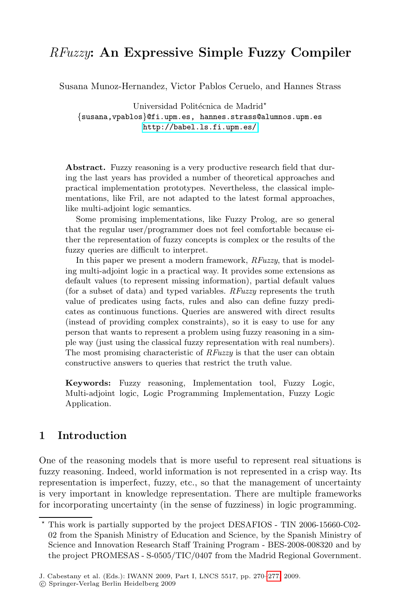# RFuzzy**[:](http://babel.ls.fi.upm.es/) [An](http://babel.ls.fi.upm.es/) [Expressiv](http://babel.ls.fi.upm.es/)e Simple Fuzzy Compiler**

Susana Munoz-Hernandez, Victor Pablos Ceruelo, and Hannes Strass

Universidad Politécnica de Madrid $^{\star}$ {susana,vpablos}@fi.upm.es, hannes.strass@alumnos.upm.es http://babel.ls.fi.upm.es/

Abstract. Fuzzy reasoning is a very productive research field that during the last years has provided a number of theoretical approaches and practical implementation prototypes. Nevertheless, the classical implementations, like Fril, are not adapted to the latest formal approaches, like multi-adjoint logic semantics.

Some promising implementations, like Fuzzy Prolog, are so general that the regular user/programmer does not feel comfortable because either the representation of fuzzy concepts is complex or the results of the fuzzy queries are difficult to interpret.

In this paper we present a modern framework, RFuzzy, that is modeling multi-adjoint logic in a practical way. It provides some extensions as default values (to represent missing information), partial default values (for a subset of data) and typed variables.  $RFuzzy$  represents the truth value of predicates using facts, rules and also can define fuzzy predicates as continuous functions. Queries are answered with direct results (instead of providing complex constraints), so it is easy to use for any person that wants to represent a problem using fuzzy reasoning in a simple way (just using the classical fuzzy representation with real numbers). The most promising characteristic of RFuzzy is that the user can obtain constructive answers to queries that restrict the truth value.

**Keywords:** Fuzzy reasoning, Implementation tool, Fuzzy Logic, Multi-adjoint logic, Logic Programming Implementation, Fuzzy Logic Application.

# **1 Introduction**

One of the reasoning models that is more useful to represent real situations is fuzzy reasoning. Indeed, world information is not represented in a crisp way. Its representation is imperfect, fuzzy, etc., so that the management of uncertainty is very important in knowledge repr[esen](#page-7-0)tation. There are multiple frameworks for incorporating uncertainty (in the sense of fuzziness) in logic programming.

 $\star$  This work is partially supported by the project DESAFIOS - TIN 2006-15660-C02- 02 from the Spanish Ministry of Education and Science, by the Spanish Ministry of Science and Innovation Research Staff Training Program - BES-2008-008320 and by the project PROMESAS - S-0505/TIC/0407 from the Madrid Regional Government.

J. Cabestany et al. (Eds.): IWANN 2009, Part I, LNCS 5517, pp. 270–277, 2009.

<sup>-</sup>c Springer-Verlag Berlin Heidelberg 2009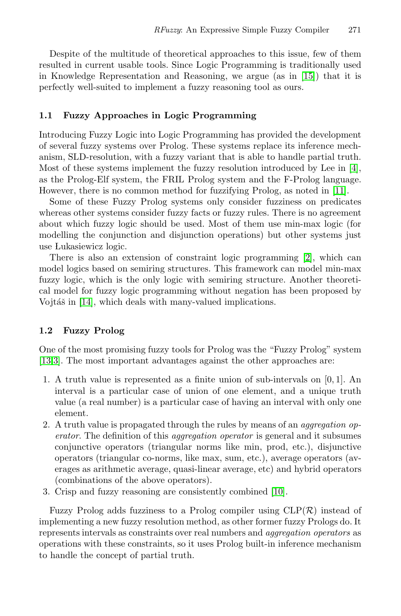Despite of the multitude of theoretical approaches to this issue, few of them resulted in current usable tools. Since Logic Programming is traditionally used in Knowledge Representation and Reasoning, we argue (as in [15]) that it is perfectly well-suited to implement a fuzzy reasoning tool [as](#page-7-1) ours.

# **1.1 Fuzzy Approaches in Logic Programming**

Introducing Fuzzy Logic into Logic Programming has provided the development of several fuzzy systems over Prolog. These systems replace its inference mechanism, SLD-resolution, with a fuzzy variant that is able to handle partial truth. Most of these systems implement the fuzzy re[sol](#page-7-2)ution introduced by Lee in [4], as the Prolog-Elf system, the FRIL Prolog system and the F-Prolog language. However, there is no common method for fuzzifying Prolog, as noted in [11].

Some of these Fuzzy Prolog systems only consider fuzziness on predicates whereas other systems consider fuzzy facts or fuzzy rules. There is no agreement about which fuzzy logic should be used. Most of them use min-max logic (for modelling the conjunction and disjunction operations) but other systems just use Lukasiewicz logic.

There is also an extension of constraint logic programming [2], which can model logics based on semiring structures. This framework can model min-max fuzzy logic, which is the only logic with semiring structure. Another theoretical model for fuzzy logic programming without negation has been proposed by Vojtáš in  $[14]$ , which deals with many-valued implications.

# **1.2 Fuzzy Prolog**

One of the most promising fuzzy tools for Prolog was the "Fuzzy Prolog" system [13,3]. The most important advantages against the other approaches are:

- 1. A truth value is represented as a finite union of sub-intervals on [0, 1]. An interval is a particular case of union of one element, and a unique truth value (a real number) is a particul[ar c](#page-7-3)ase of having an interval with only one element.
- 2. A truth value is propagated through the rules by means of an aggregation operator. The definition of this *aggregation operator* is general and it subsumes conjunctive operators (triangular norms like min, prod, etc.), disjunctive operators (triangular co-norms, like max, sum, etc.), average operators (averages as arithmetic average, quasi-linear average, etc) and hybrid operators (combinations of the above operators).
- 3. Crisp and fuzzy reasoning are consistently combined [10].

Fuzzy Prolog adds fuzziness to a Prolog compiler using  $CLP(\mathcal{R})$  instead of implementing a new fuzzy resolution method, as other former fuzzy Prologs do. It represents intervals as constraints over real numbers and aggregation operators as operations with these constraints, so it uses Prolog built-in inference mechanism to handle the concept of partial truth.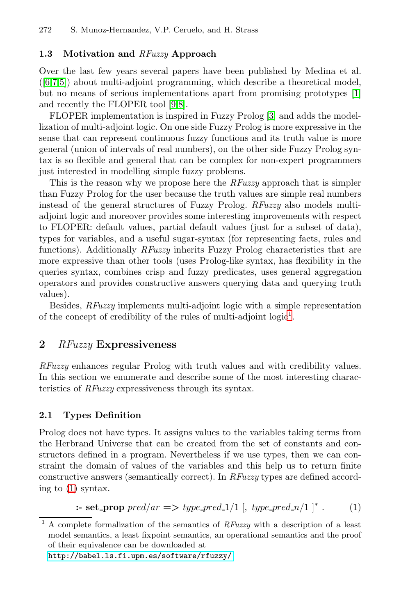272 S. Munoz-Hernandez, V.P. Ceru[elo](#page-7-4), and H. Strass

#### **1.3 Motivation and** RFuzzy **Approach**

Over the last few years several papers have been published by Medina et al. ([6,7,5]) about multi-adjoint programming, which describe a theoretical model, but no means of serious implementations apart from promising prototypes [1] and recently the FLOPER tool [9,8].

FLOPER implementation is inspired in Fuzzy Prolog [3] and adds the modellization of multi-adjoint logic. On one side Fuzzy Prolog is more expressive in the sense that can represent continuous fuzzy functions and its truth value is more general (union of intervals of real numbers), on the other side Fuzzy Prolog syntax is so flexible and general that can be complex for non-expert programmers just interested in modelling simple fuzzy problems.

This is the reason why we propose here the RFuzzy approach that is simpler than Fuzzy Prolog for the user because the truth values are simple real numbers instead of the general structures of Fuzzy Prolog. RFuzzy also models multiadjoint logic and moreover provides some interesting improvements with respect to FLOPER: default values, partial defa[ult](#page-2-0) values (just for a subset of data), types for variables, and a useful sugar-syntax (for representing facts, rules and functions). Additionally RFuzzy inherits Fuzzy Prolog characteristics that are more expressive than other tools (uses Prolog-like syntax, has flexibility in the queries syntax, combines crisp and fuzzy predicates, uses general aggregation operators and provides constructive answers querying data and querying truth values).

Besides, RFuzzy implements multi-adjoint logic with a simple representation of the concept of credibility of the rules of multi-adjoint logic<sup>1</sup>.

# **2** RFuzzy **Expressiveness**

RFuzzy enhances regular Prolog with truth values and with credibility values. In this section we enumerate and describe some of the most interesting characteristics of RFuzzy expressiveness through its syntax.

# **2.1 Types Definition**

<span id="page-2-0"></span>Prolog does not have types. It assigns values to the variables taking terms from the Herbrand Universe that can be created from the set of constants and constructors defined in a program. Nevertheless if we use types, then we can con[straint the domain of values](http://babel.ls.fi.upm.es/software/rfuzzy/) of the variables and this help us to return finite constructive answers (semantically correct). In RFuzzy types are defined according to (1) syntax.

$$
\text{:- set\_prop } pred / ar \implies type\_pred\_1 / 1 [, type\_pred\_n / 1 ]^* . \tag{1}
$$

<sup>&</sup>lt;sup>1</sup> A complete formalization of the semantics of  $RFuzzu$  with a description of a least model semantics, a least fixpoint semantics, an operational semantics and the proof of their equivalence can be downloaded at

http://babel.ls.fi.upm.es/software/rfuzzy/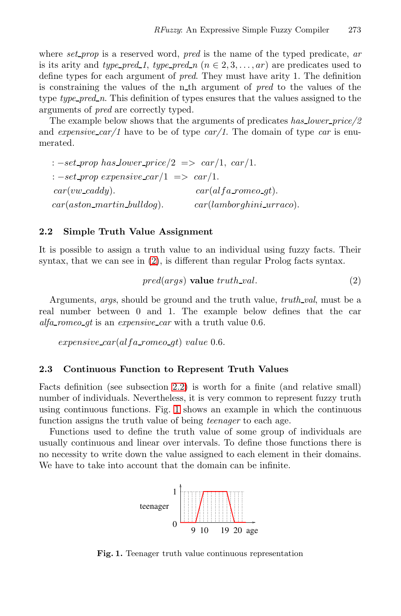where set prop is a reserved word, pred is the name of the typed predicate, are is its arity and type pred 1, type pred n  $(n \in 2, 3, ..., ar)$  are predicates used to define types for each argument of pred. They must have arity 1. The definition is constraining the values of the n<sub>th</sub> argument of  $pred$  to the values of the type type pred  $n$ . This definition of types ensures that the values assigned to the arguments of pred are correctly typed.

<span id="page-3-1"></span>The example below shows that the arguments of predicates has lower price/2 and expensive car/1 have to be of type car/1. The domain of type car is enumerated.

:  $-set\_prop$  has lower  $price/2 \implies car/1, car/1$ . :  $-set\_prop\;exensive\_car/1 \implies car/1.$  $-set\_prop\;exensive\_car/1 \implies car/1.$  $-set\_prop\;exensive\_car/1 \implies car/1.$  $car(vw\_caddy)$ .  $car(alfa\_romeo_qt)$ .  $car(aston\_martin_bulldog).$   $car(lamborghini\_urrac).$ 

### <span id="page-3-0"></span>**2.2 Simple Truth Value Assignment**

<span id="page-3-3"></span>It is possible to assign a truth value to an individual using fuzzy facts. Their syntax, that we can see in (2), is different than regular Prolog facts syntax.

$$
pred(args) \text{ value } truth\_val. \tag{2}
$$

Arguments, [arg](#page-3-1)s, should be ground and the truth value, truth val, must be a real number between 0 and 1. The example below defines that the car alfa romeo qt [is](#page-3-2) an expensive car with a truth value 0.6.

 $expensive\_car(alfa\_romeo\_gt)$  value 0.6.

#### **2.3 Continuous Function to Represent Truth Values**

Facts definition (see subsection 2.2) is worth for a finite (and relative small) number of individuals. Nevertheless, it is very common to represent fuzzy truth using continuous functions. Fig. 1 shows an example in which the continuous function assigns the truth value of being teenager to each age.

<span id="page-3-2"></span>Functions used to define the truth value of some group of individuals are usually continuous and linear over intervals. To define those functions there is no necessity to write down the value assigned to each element in their domains. We have to take into account that the domain can be infinite.



**Fig. 1.** Teenager truth value continuous representation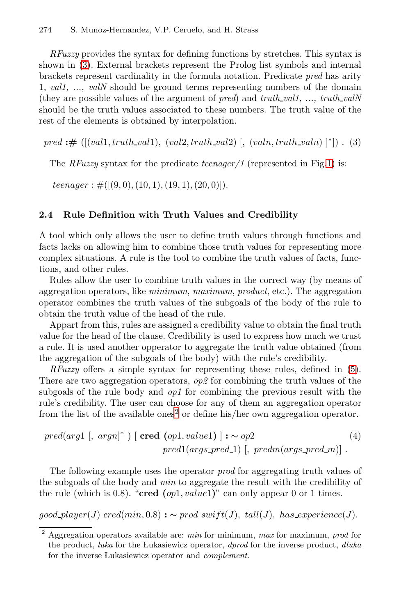#### 274 S. Munoz-Hernandez, V.P. Ceruelo, and H. Strass

RFuzzy provides the syntax for defining functions by stretches. This syntax is shown in (3). External brackets represent the Prolog list symbols and internal brackets represent cardinality in the formula notati[on](#page-3-2). Predicate pred has arity 1, val1, ..., valN should be ground terms representing numbers of the domain (they are possible values of the argument of  $pred$ ) and  $truth\_val1, ..., truth\_valN$ should be the truth values associated to these numbers. The truth value of the rest of the elements is obtained by interpolation.

<span id="page-4-2"></span>pred  $:\#([val1, truth\_val1), (val2, truth\_val2)$   $[, (valn, truth\_valn)$  $*])$ . (3)

The  $RFuzzy$  syntax for the predicate teenager/1 (represented in Fig.1) is:

teenager :  $\#([(9,0), (10, 1), (19, 1), (20, 0)]$ .

# **2.4 Rule Definition with Truth Values and Credibility**

A tool which only allows the user to define truth values through functions and facts lacks on allowing him to combine those truth values for representing more complex situations. A rule is the tool to combine the truth values of facts, functions, and other rules.

Rules allow the user to combine truth values in the cor[re](#page-4-0)ct way (by means of aggregation operators, like minimum, maximum, product, etc.). The aggregation operator combines the truth values of the subgoals of the body of the rule to obtain the truth value of the head of the rule.

Appart fro[m](#page-4-1) this, rules are assigned a credibility value to obtain the final truth value for the head of the clause. Credibility is used to express how much we trust a rule. It is used another opperator to aggregate the truth value obtained (from the aggregation of the subgoals of the body) with the rule's credibility.

<span id="page-4-0"></span>RFuzzy offers a simple syntax for representing these rules, defined in (5). There are two aggregation operators,  $op2$  for combining the truth values of the subgoals of the rule body and *op1* for combining the previous result with the rule's credibility. The user can choose for any of them an aggregation operator from the list of the available ones<sup>2</sup> or define his/her own aggregation operator.

$$
pred(arg1 [, argn]^{*}) [ \text{cred} (op1, value1) ] : ~ op2
$$
\n
$$
pred1(args\_pred_1) [, predm(args\_pred_m)] .
$$
\n(4)

<span id="page-4-1"></span>The following example uses the operator prod for aggregating truth values of the subgoals of the body and min to aggregate the result with the credibility of the rule (which is 0.8). "**cred**  $(\text{op1}, \text{value1})$ " can only appear 0 or 1 times.

 $good\_player(J) \, cred(min, 0.8) : ~prod1> void \, swift(J), \, tall(J), \, has\_ experience(J).$ 

<sup>&</sup>lt;sup>2</sup> Aggregation operators available are: *min* for minimum, *max* for maximum, *prod* for the product, *luka* for the Lukasiewicz operator, *dprod* for the inverse product, *dluka* for the inverse Lukasiewicz operator and complement.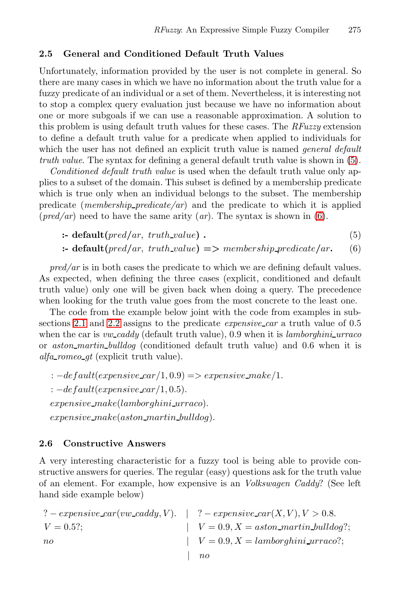#### <span id="page-5-1"></span>**2.5 General and Conditioned Default Truth Values**

Unfortunately, information provided by the user is not c[om](#page-5-0)plete in general. So there are many cases in which we have no information about the truth value for a fuzzy predicate of an individual or a set of them. Nevertheless, it is interesting not to stop a complex query evaluation just because we have no information about one or more subgoals if we can use a reasonable approximation. A solution to this problem is using default truth values for thes[e](#page-5-0) cases. The RFuzzy extension to define a default truth value for a predicate when applied to individuals for which the user has not defined an explicit truth value is named *general default* truth value. The syntax for defining a general default truth value is shown in (5).

<span id="page-5-0"></span>Conditioned default truth value is used when the default truth value only applies to a subset of the domain. This subset is defined by a membership predicate which is true only when an individual belongs to the subset. The membership predicate (*membership\_predicate/ar*) and the predicate to which it is applied (pred/ar) need to have the same arity  $(ar)$ . The syntax is shown in (6).

\n- **default** 
$$
(pred/ar, truth_value)
$$
.
\n- **default**  $(pred/ar, truth_value) \implies membership\_predicate/ar.$
\n- (6)
\n

 $pred/ar$  is in both cases the predicate to which we are defining default values. As expected, when defining the three cases (explicit, conditioned and default truth value) only one will be given back when doing a query. The precedence when looking for the truth value goes from the most concrete to the least one.

<span id="page-5-2"></span>The code from the example below joint with the code from examples in subsections 2.1 and 2.2 assigns to the predicate *expensive\_car* a truth value of  $0.5$ when the car is  $vw\_caddy$  (default truth value), 0.9 when it is *lamborghini\_urraco* or aston martin bulldog (conditioned default truth value) and 0.6 when it is alfa romeo gt (explicit truth value).

:  $-default(expensive-car/1, 0.9) \implies expensive\_make/1.$ :  $-de fault(expensive\_car/1, 0.5).$  $expensive\_make(lamborghini\_urrac).$  $expensive\_make(aston\_martin\_bullet).$ 

### **2.6 Constructive Answers**

A very interesting characteristic for a fuzzy tool is being able to provide constructive answers for queries. The regular (easy) questions ask for the truth value of an element. For example, how expensive is an Volkswagen Caddy? (See left hand side example below)

|              | ? – expensive car(vw_caddy,V).   ? – expensive car(X,V), $V > 0.8$ . |
|--------------|----------------------------------------------------------------------|
| $V = 0.5$ ?: | $V = 0.9, X =$ aston_martin_bulldoq?;                                |
| $n_{0}$      | $V = 0.9, X = lambographic' urraco$                                  |
|              | no                                                                   |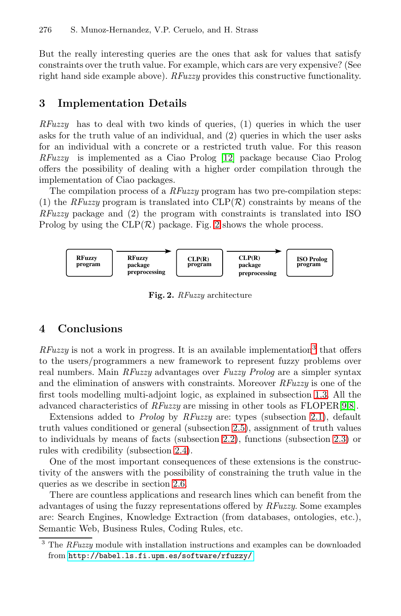But the really interesting queries are the ones that ask for values that satisfy constraints over the truth value. For example, which cars are very expensive? (See right hand side example a[bov](#page-7-5)e). RFuzzy provides this constructive functionality.

# **3 Implementation Details**

 $RFuzzy$  has to deal with two kinds of queries, (1) queries in which the user asks for the truth value [of](#page-6-0) an individual, and (2) queries in which the user asks for an individual with a concrete or a restricted truth value. For this reason RFuzzy is implemented as a Ciao Prolog [12] package because Ciao Prolog offers the possibility of dealing with a higher order compilation through the implementation of Ciao packages.

<span id="page-6-0"></span>The compilation process of a  $RFuzzy$  program has two pre-compilation steps: (1) the RFuzzy program is translated into  $CLP(\mathcal{R})$  constraints by means of the  $RFuzzy$  package and  $(2)$  the program with constraints is translated into ISO Prolog by using the  $CLP(\mathcal{R})$  package. Fig. 2 shows the whole process.



**Fig. 2.** RFuzzy architecture

# **4 Conclusions**

 $RFuzzy$  is not a work in p[rogr](#page-3-1)[ess](#page-5-1). It is an available i[mple](#page-3-3)mentation<sup>3</sup> that offers to the users/[prog](#page-4-2)rammers a new framework to represent fuzzy problems over real numbers. Main RFuzzy advantages over Fuzzy Prolog are a simpler syntax and the elimination of answers with constraints. Moreover RFuzzy is one of the first tools mo[delli](#page-5-2)ng multi-adjoint logic, as explained in subsection 1.3. All the advanced characteristics of RFuzzy are missing in other tools as FLOPER[9,8].

Extensions added to Prolog by RFuzzy are: types (subsection 2.1), default truth values conditioned or general (subsection 2.5), assignment of truth values to individuals by means of facts (subsection 2.2), functions (subsection 2.3) or rules with credibility (subsection 2.4).

<span id="page-6-1"></span>One of the most important consequences of these extensions is the construc[tivity of the answers with the pos](http://babel.ls.fi.upm.es/software/rfuzzy/)sibility of constraining the truth value in the queries as we describe in section 2.6.

There are countless applications and research lines which can benefit from the advantages of using the fuzzy representations offered by RFuzzy. Some examples are: Search Engines, Knowledge Extraction (from databases, ontologies, etc.), Semantic Web, Business Rules, Coding Rules, etc.

The RFuzzy module with installation instructions and examples can be downloaded from http://babel.ls.fi.upm.es/software/rfuzzy/